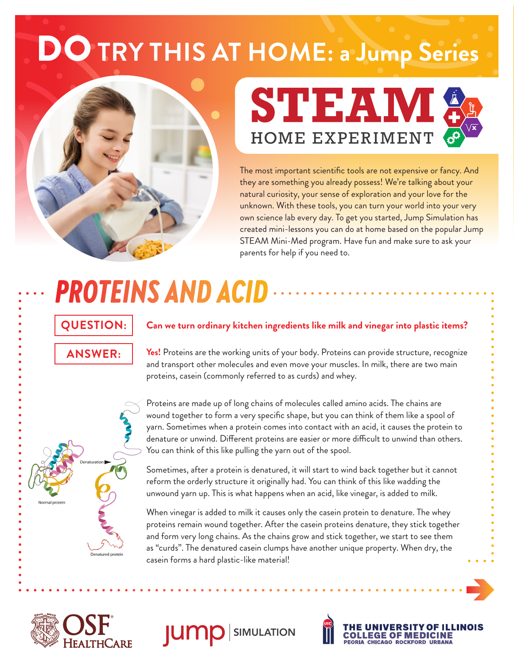## DO **TRY THIS AT HOME: a Jump Series**





The most important scientific tools are not expensive or fancy. And they are something you already possess! We're talking about your natural curiosity, your sense of exploration and your love for the unknown. With these tools, you can turn your world into your very own science lab every day. To get you started, Jump Simulation has created mini-lessons you can do at home based on the popular Jump STEAM Mini-Med program. Have fun and make sure to ask your parents for help if you need to.

# *PROTEINS AND ACID*

### **QUESTION: ANSWER:**

#### **Can we turn ordinary kitchen ingredients like milk and vinegar into plastic items?**

**Yes!** Proteins are the working units of your body. Proteins can provide structure, recognize and transport other molecules and even move your muscles. In milk, there are two main proteins, casein (commonly referred to as curds) and whey.



Proteins are made up of long chains of molecules called amino acids. The chains are wound together to form a very specific shape, but you can think of them like a spool of yarn. Sometimes when a protein comes into contact with an acid, it causes the protein to denature or unwind. Different proteins are easier or more difficult to unwind than others. You can think of this like pulling the yarn out of the spool.

Sometimes, after a protein is denatured, it will start to wind back together but it cannot reform the orderly structure it originally had. You can think of this like wadding the unwound yarn up. This is what happens when an acid, like vinegar, is added to milk.

When vinegar is added to milk it causes only the casein protein to denature. The whey proteins remain wound together. After the casein proteins denature, they stick together and form very long chains. As the chains grow and stick together, we start to see them as "curds". The denatured casein clumps have another unique property. When dry, the casein forms a hard plastic-like material!







THE UNIVERSITY OF IL<mark>l</mark><br>COLLEGE OF MEDICINE

PEORIA CHICAGO ROCKFORD URBANA